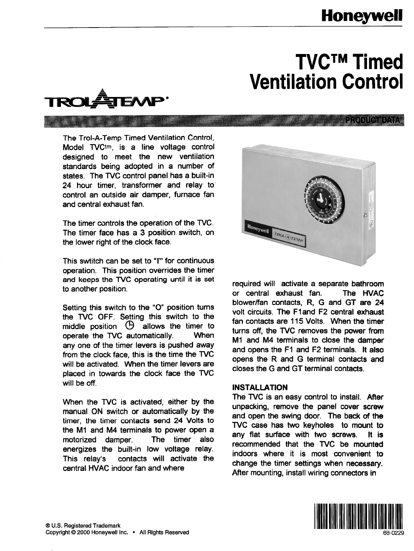## **Honeywell**

eroniemetr

# **TVCTM Timed Ventilation Control**



The Trol-A-Temp Timed Ventilation Control, Model TVCtm, is a line voltage control designed to meet the 'new ventilation standards being adopted in a number of states. The TVC control panel has a built-in 24 hour timer, transformer and relay to' control an outside air damper, furnace fan and central exhaust fan.

The timer controls the operation of the TVC. The timer face has a 3 position switch, on the lower right of the clock face.

This swtitch can be set to "I" for continuous operation. This position overrides the timer and **keeps the WC operating until it is set**  to another position.

Setting this switch to the "0" position turns the TVC OFF. Setting this switch to the middle position  $\Theta$  allows the timer to operate the TVC automatically. When any one of the timer levers is pushed away from the clock face, this is the time the TVC will be activated. When the timer levers are placed in towards the clock face the TVC will be off.

When the TVC is activated, either by the manual ON switch or automatically by the timer, the timer contacts send 24 Volts to the Ml and M4 terminals to power open a motorized damper. The timer also energizes the built-in low voltage relay. This relay% contacts will activate the central HVAC indoor fan and where



required will activate a separate bathroom or central exhaust fan. The HVAC blower/fan contacts, R, G and GT are 24 volt circuits. The Fland F2 central exhaust fan contacts are 115 Volts. When the timer turns off, the TVC removes the power from **Ml** and M4 terminals to close the damper and opens the Fl and F2 terminals. It also opens the R and G terminal contacts and closes the G and GT terminal contacts.

#### INSTALLATION

The TVC is an easy control to install. After unpacking, remove the panel cover screw and open the swing door. The back of the TVC case has two keyholes to mount to any flat surface with two screws. It is recommended that the TVC be mounted indoors where it is most convenient to change the timer settings when necessary. After mounting, install wiring connectors in